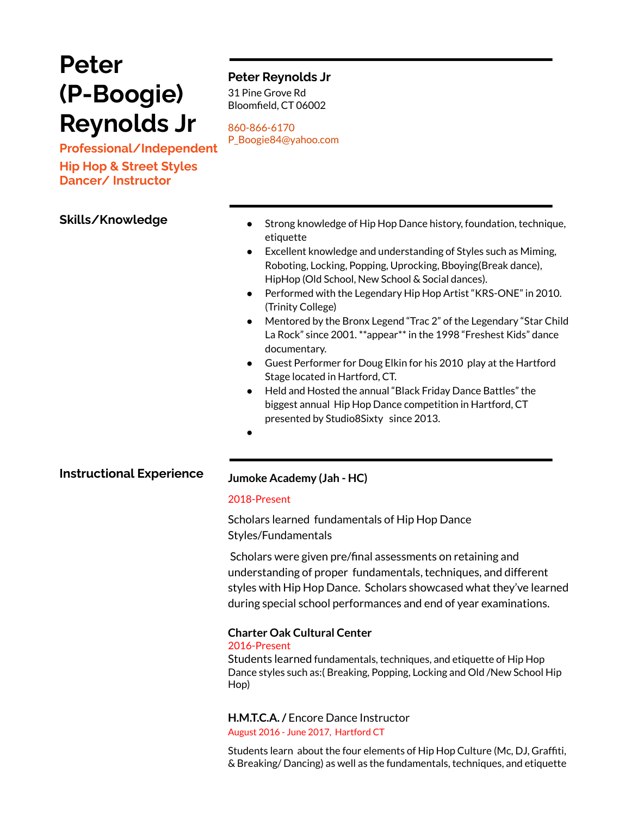# **Peter (P-Boogie) Reynolds Jr**

**Professional/Independent Hip Hop & Street Styles Dancer/ Instructor**

# **Peter Reynolds Jr**

31 Pine Grove Rd Bloomfield, CT 06002

860-866-6170 P\_Boogie84@yahoo.com

- **Skills/Knowledge and Company of Strong knowledge of Hip Hop Dance history, foundation, technique,** etiquette
	- Excellent knowledge and understanding of Styles such as Miming, Roboting, Locking, Popping, Uprocking, Bboying(Break dance), HipHop (Old School, New School & Social dances).
	- Performed with the Legendary Hip Hop Artist "KRS-ONE" in 2010. (Trinity College)
	- Mentored by the Bronx Legend "Trac 2" of the Legendary "Star Child La Rock" since 2001. \*\*appear\*\* in the 1998 "Freshest Kids" dance documentary.
	- Guest Performer for Doug Elkin for his 2010 play at the Hartford Stage located in Hartford, CT.
	- Held and Hosted the annual "Black Friday Dance Battles" the biggest annual Hip Hop Dance competition in Hartford, CT presented by Studio8Sixty since 2013.
	- ●

# **Instructional Experience Jumoke Academy (Jah - HC)**

### 2018-Present

Scholars learned fundamentals of Hip Hop Dance Styles/Fundamentals

Scholars were given pre/final assessments on retaining and understanding of proper fundamentals, techniques, and different styles with Hip Hop Dance. Scholars showcased what they've learned during special school performances and end of year examinations.

### **Charter Oak Cultural Center**

### 2016-Present

Students learned fundamentals, techniques, and etiquette of Hip Hop Dance styles such as:( Breaking, Popping, Locking and Old /New School Hip Hop)

**H.M.T.C.A./** Encore Dance Instructor August 2016 - June 2017, Hartford CT

Students learn about the four elements of Hip Hop Culture (Mc, DJ, Graffiti, & Breaking/ Dancing) as well as the fundamentals, techniques, and etiquette